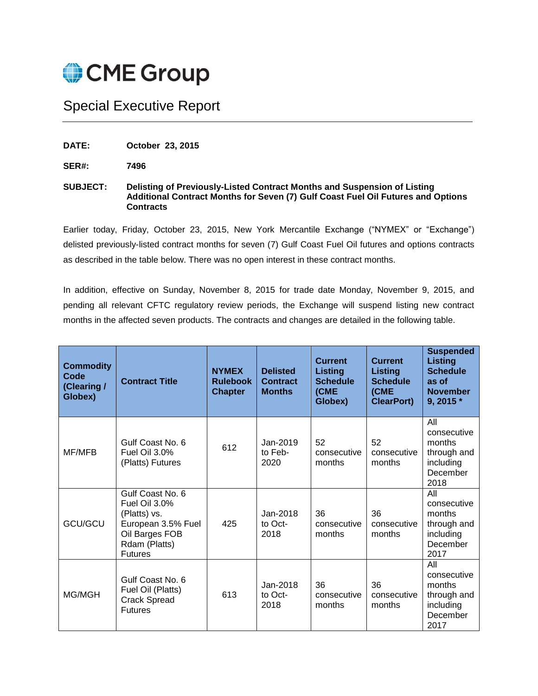

## Special Executive Report

**DATE: October 23, 2015**

**SER#: 7496**

## **SUBJECT: Delisting of Previously-Listed Contract Months and Suspension of Listing Additional Contract Months for Seven (7) Gulf Coast Fuel Oil Futures and Options Contracts**

Earlier today, Friday, October 23, 2015, New York Mercantile Exchange ("NYMEX" or "Exchange") delisted previously-listed contract months for seven (7) Gulf Coast Fuel Oil futures and options contracts as described in the table below. There was no open interest in these contract months.

In addition, effective on Sunday, November 8, 2015 for trade date Monday, November 9, 2015, and pending all relevant CFTC regulatory review periods, the Exchange will suspend listing new contract months in the affected seven products. The contracts and changes are detailed in the following table.

| <b>Commodity</b><br>Code<br>(Clearing /<br>Globex) | <b>Contract Title</b>                                                                                                        | <b>NYMEX</b><br><b>Rulebook</b><br><b>Chapter</b> | <b>Delisted</b><br><b>Contract</b><br><b>Months</b> | <b>Current</b><br><b>Listing</b><br><b>Schedule</b><br>(CME<br>Globex) | <b>Current</b><br>Listing<br><b>Schedule</b><br>(CME<br><b>ClearPort)</b> | <b>Suspended</b><br><b>Listing</b><br><b>Schedule</b><br>as of<br><b>November</b><br>9, 2015 * |
|----------------------------------------------------|------------------------------------------------------------------------------------------------------------------------------|---------------------------------------------------|-----------------------------------------------------|------------------------------------------------------------------------|---------------------------------------------------------------------------|------------------------------------------------------------------------------------------------|
| MF/MFB                                             | Gulf Coast No. 6<br>Fuel Oil 3.0%<br>(Platts) Futures                                                                        | 612                                               | Jan-2019<br>to Feb-<br>2020                         | 52<br>consecutive<br>months                                            | 52<br>consecutive<br>months                                               | All<br>consecutive<br>months<br>through and<br>including<br>December<br>2018                   |
| GCU/GCU                                            | Gulf Coast No. 6<br>Fuel Oil 3.0%<br>(Platts) vs.<br>European 3.5% Fuel<br>Oil Barges FOB<br>Rdam (Platts)<br><b>Futures</b> | 425                                               | $Jan-2018$<br>to Oct-<br>2018                       | 36<br>consecutive<br>months                                            | 36<br>consecutive<br>months                                               | All<br>consecutive<br>months<br>through and<br>including<br>December<br>2017                   |
| MG/MGH                                             | Gulf Coast No. 6<br>Fuel Oil (Platts)<br><b>Crack Spread</b><br><b>Futures</b>                                               | 613                                               | Jan-2018<br>to Oct-<br>2018                         | 36<br>consecutive<br>months                                            | 36<br>consecutive<br>months                                               | All<br>consecutive<br>months<br>through and<br>including<br>December<br>2017                   |